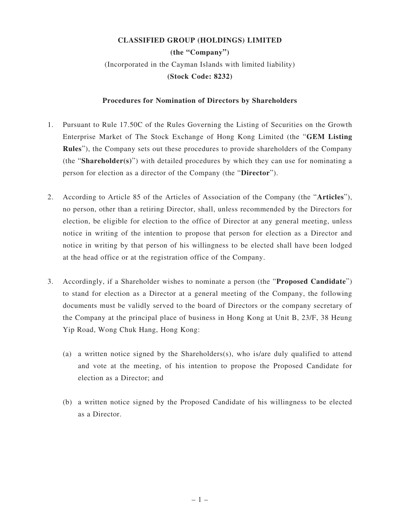## **CLASSIFIED GROUP (HOLDINGS) LIMITED**

**(the "Company")** (Incorporated in the Cayman Islands with limited liability) **(Stock Code: 8232)**

## **Procedures for Nomination of Directors by Shareholders**

- 1. Pursuant to Rule 17.50C of the Rules Governing the Listing of Securities on the Growth Enterprise Market of The Stock Exchange of Hong Kong Limited (the "**GEM Listing Rules**"), the Company sets out these procedures to provide shareholders of the Company (the "**Shareholder(s)**") with detailed procedures by which they can use for nominating a person for election as a director of the Company (the "**Director**").
- 2. According to Article 85 of the Articles of Association of the Company (the "**Articles**"), no person, other than a retiring Director, shall, unless recommended by the Directors for election, be eligible for election to the office of Director at any general meeting, unless notice in writing of the intention to propose that person for election as a Director and notice in writing by that person of his willingness to be elected shall have been lodged at the head office or at the registration office of the Company.
- 3. Accordingly, if a Shareholder wishes to nominate a person (the "**Proposed Candidate**") to stand for election as a Director at a general meeting of the Company, the following documents must be validly served to the board of Directors or the company secretary of the Company at the principal place of business in Hong Kong at Unit B, 23/F, 38 Heung Yip Road, Wong Chuk Hang, Hong Kong:
	- (a) a written notice signed by the Shareholders $(s)$ , who is/are duly qualified to attend and vote at the meeting, of his intention to propose the Proposed Candidate for election as a Director; and
	- (b) a written notice signed by the Proposed Candidate of his willingness to be elected as a Director.